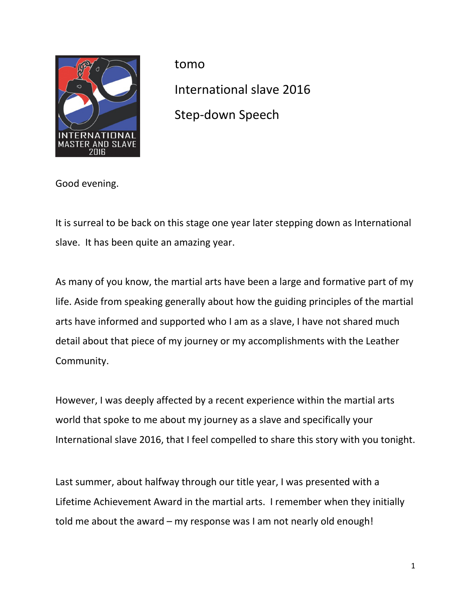

tomo International slave 2016 Step-down Speech

Good evening.

It is surreal to be back on this stage one year later stepping down as International slave. It has been quite an amazing year.

As many of you know, the martial arts have been a large and formative part of my life. Aside from speaking generally about how the guiding principles of the martial arts have informed and supported who I am as a slave, I have not shared much detail about that piece of my journey or my accomplishments with the Leather Community.

However, I was deeply affected by a recent experience within the martial arts world that spoke to me about my journey as a slave and specifically your International slave 2016, that I feel compelled to share this story with you tonight.

Last summer, about halfway through our title year, I was presented with a Lifetime Achievement Award in the martial arts. I remember when they initially told me about the award – my response was I am not nearly old enough!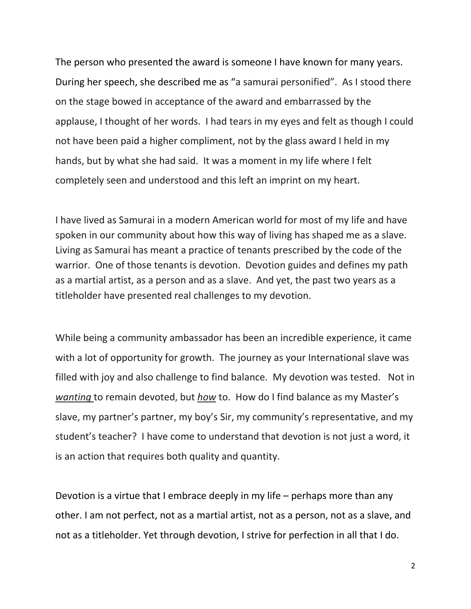The person who presented the award is someone I have known for many years. During her speech, she described me as "a samurai personified". As I stood there on the stage bowed in acceptance of the award and embarrassed by the applause, I thought of her words. I had tears in my eyes and felt as though I could not have been paid a higher compliment, not by the glass award I held in my hands, but by what she had said. It was a moment in my life where I felt completely seen and understood and this left an imprint on my heart.

I have lived as Samurai in a modern American world for most of my life and have spoken in our community about how this way of living has shaped me as a slave. Living as Samurai has meant a practice of tenants prescribed by the code of the warrior. One of those tenants is devotion. Devotion guides and defines my path as a martial artist, as a person and as a slave. And yet, the past two years as a titleholder have presented real challenges to my devotion.

While being a community ambassador has been an incredible experience, it came with a lot of opportunity for growth. The journey as your International slave was filled with joy and also challenge to find balance. My devotion was tested. Not in wanting to remain devoted, but how to. How do I find balance as my Master's slave, my partner's partner, my boy's Sir, my community's representative, and my student's teacher? I have come to understand that devotion is not just a word, it is an action that requires both quality and quantity.

Devotion is a virtue that I embrace deeply in my life – perhaps more than any other. I am not perfect, not as a martial artist, not as a person, not as a slave, and not as a titleholder. Yet through devotion, I strive for perfection in all that I do.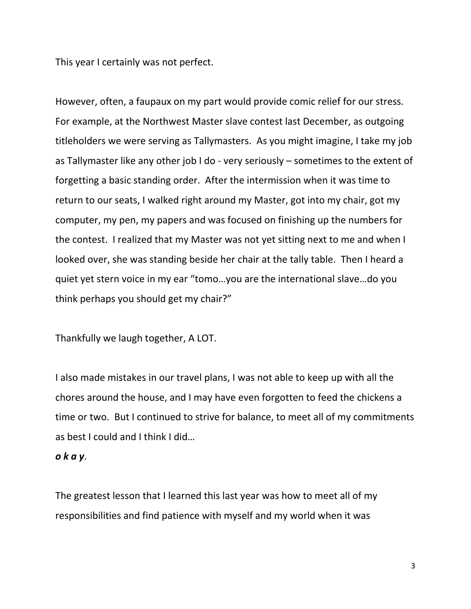This year I certainly was not perfect.

However, often, a faupaux on my part would provide comic relief for our stress. For example, at the Northwest Master slave contest last December, as outgoing titleholders we were serving as Tallymasters. As you might imagine, I take my job as Tallymaster like any other job I do - very seriously – sometimes to the extent of forgetting a basic standing order. After the intermission when it was time to return to our seats, I walked right around my Master, got into my chair, got my computer, my pen, my papers and was focused on finishing up the numbers for the contest. I realized that my Master was not yet sitting next to me and when I looked over, she was standing beside her chair at the tally table. Then I heard a quiet yet stern voice in my ear "tomo…you are the international slave…do you think perhaps you should get my chair?"

Thankfully we laugh together, A LOT.

I also made mistakes in our travel plans, I was not able to keep up with all the chores around the house, and I may have even forgotten to feed the chickens a time or two. But I continued to strive for balance, to meet all of my commitments as best I could and I think I did…

## o k a y.

The greatest lesson that I learned this last year was how to meet all of my responsibilities and find patience with myself and my world when it was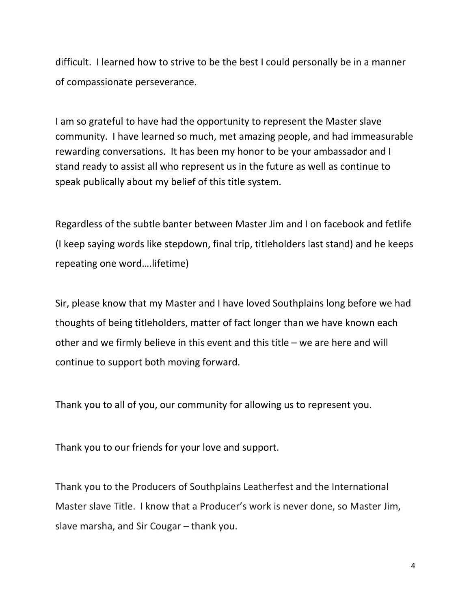difficult. I learned how to strive to be the best I could personally be in a manner of compassionate perseverance.

I am so grateful to have had the opportunity to represent the Master slave community. I have learned so much, met amazing people, and had immeasurable rewarding conversations. It has been my honor to be your ambassador and I stand ready to assist all who represent us in the future as well as continue to speak publically about my belief of this title system.

Regardless of the subtle banter between Master Jim and I on facebook and fetlife (I keep saying words like stepdown, final trip, titleholders last stand) and he keeps repeating one word….lifetime)

Sir, please know that my Master and I have loved Southplains long before we had thoughts of being titleholders, matter of fact longer than we have known each other and we firmly believe in this event and this title – we are here and will continue to support both moving forward.

Thank you to all of you, our community for allowing us to represent you.

Thank you to our friends for your love and support.

Thank you to the Producers of Southplains Leatherfest and the International Master slave Title. I know that a Producer's work is never done, so Master Jim, slave marsha, and Sir Cougar – thank you.